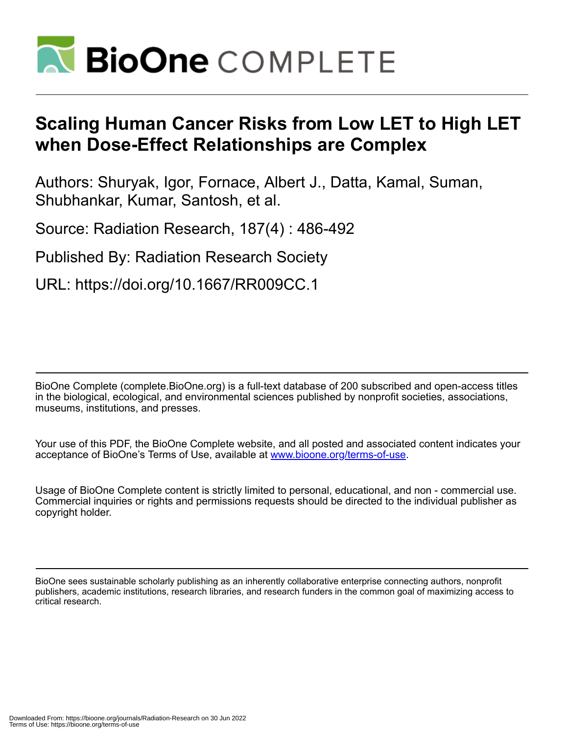

# **Scaling Human Cancer Risks from Low LET to High LET when Dose-Effect Relationships are Complex**

Authors: Shuryak, Igor, Fornace, Albert J., Datta, Kamal, Suman, Shubhankar, Kumar, Santosh, et al.

Source: Radiation Research, 187(4) : 486-492

Published By: Radiation Research Society

URL: https://doi.org/10.1667/RR009CC.1

BioOne Complete (complete.BioOne.org) is a full-text database of 200 subscribed and open-access titles in the biological, ecological, and environmental sciences published by nonprofit societies, associations, museums, institutions, and presses.

Your use of this PDF, the BioOne Complete website, and all posted and associated content indicates your acceptance of BioOne's Terms of Use, available at www.bioone.org/terms-of-use.

Usage of BioOne Complete content is strictly limited to personal, educational, and non - commercial use. Commercial inquiries or rights and permissions requests should be directed to the individual publisher as copyright holder.

BioOne sees sustainable scholarly publishing as an inherently collaborative enterprise connecting authors, nonprofit publishers, academic institutions, research libraries, and research funders in the common goal of maximizing access to critical research.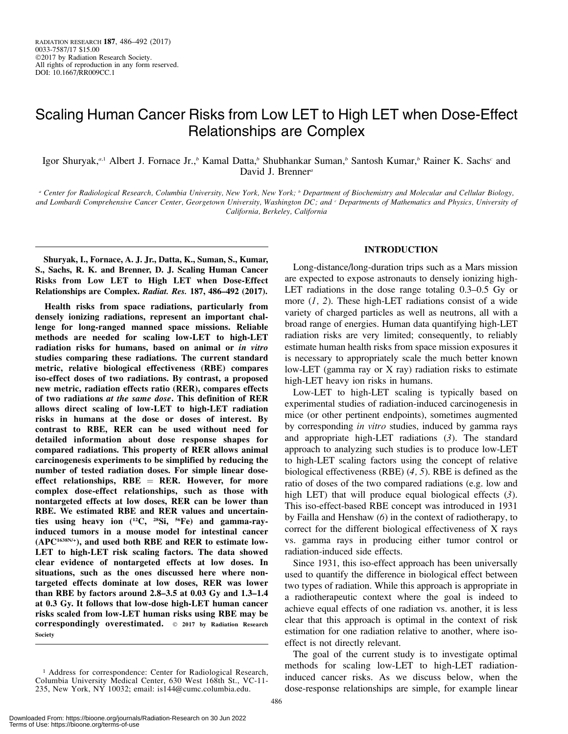## Scaling Human Cancer Risks from Low LET to High LET when Dose-Effect Relationships are Complex

Igor Shuryak,<sup>a,1</sup> Albert J. Fornace Jr.,<sup>b</sup> Kamal Datta,<sup>b</sup> Shubhankar Suman,<sup>b</sup> Santosh Kumar,<sup>b</sup> Rainer K. Sachs<sup>c</sup> and David J. Brenner<sup>a</sup>

<sup>a</sup> Center for Radiological Research, Columbia University, New York, New York; <sup>b</sup> Department of Biochemistry and Molecular and Cellular Biology, and Lombardi Comprehensive Cancer Center, Georgetown University, Washington DC; and <sup>c</sup> Departments of Mathematics and Physics, University of California, Berkeley, California

Shuryak, I., Fornace, A. J. Jr., Datta, K., Suman, S., Kumar, S., Sachs, R. K. and Brenner, D. J. Scaling Human Cancer Risks from Low LET to High LET when Dose-Effect Relationships are Complex. Radiat. Res. 187, 486–492 (2017).

Health risks from space radiations, particularly from densely ionizing radiations, represent an important challenge for long-ranged manned space missions. Reliable methods are needed for scaling low-LET to high-LET radiation risks for humans, based on animal or in vitro studies comparing these radiations. The current standard metric, relative biological effectiveness (RBE) compares iso-effect doses of two radiations. By contrast, a proposed new metric, radiation effects ratio (RER), compares effects of two radiations at the same dose. This definition of RER allows direct scaling of low-LET to high-LET radiation risks in humans at the dose or doses of interest. By contrast to RBE, RER can be used without need for detailed information about dose response shapes for compared radiations. This property of RER allows animal carcinogenesis experiments to be simplified by reducing the number of tested radiation doses. For simple linear doseeffect relationships,  $RBE = RER$ . However, for more complex dose-effect relationships, such as those with nontargeted effects at low doses, RER can be lower than RBE. We estimated RBE and RER values and uncertainties using heavy ion  $(^{12}C, ^{28}Si, ^{56}Fe)$  and gamma-rayinduced tumors in a mouse model for intestinal cancer  $(APC<sup>1638N/+</sup>)$ , and used both RBE and RER to estimate low-LET to high-LET risk scaling factors. The data showed clear evidence of nontargeted effects at low doses. In situations, such as the ones discussed here where nontargeted effects dominate at low doses, RER was lower than RBE by factors around 2.8–3.5 at 0.03 Gy and 1.3–1.4 at 0.3 Gy. It follows that low-dose high-LET human cancer risks scaled from low-LET human risks using RBE may be correspondingly overestimated.  $\circ$  2017 by Radiation Research Society

### INTRODUCTION

Long-distance/long-duration trips such as a Mars mission are expected to expose astronauts to densely ionizing high-LET radiations in the dose range totaling 0.3–0.5 Gy or more  $(1, 2)$ . These high-LET radiations consist of a wide variety of charged particles as well as neutrons, all with a broad range of energies. Human data quantifying high-LET radiation risks are very limited; consequently, to reliably estimate human health risks from space mission exposures it is necessary to appropriately scale the much better known low-LET (gamma ray or X ray) radiation risks to estimate high-LET heavy ion risks in humans.

Low-LET to high-LET scaling is typically based on experimental studies of radiation-induced carcinogenesis in mice (or other pertinent endpoints), sometimes augmented by corresponding *in vitro* studies, induced by gamma rays and appropriate high-LET radiations (3). The standard approach to analyzing such studies is to produce low-LET to high-LET scaling factors using the concept of relative biological effectiveness (RBE) (4, 5). RBE is defined as the ratio of doses of the two compared radiations (e.g. low and high LET) that will produce equal biological effects (3). This iso-effect-based RBE concept was introduced in 1931 by Failla and Henshaw (6) in the context of radiotherapy, to correct for the different biological effectiveness of X rays vs. gamma rays in producing either tumor control or radiation-induced side effects.

Since 1931, this iso-effect approach has been universally used to quantify the difference in biological effect between two types of radiation. While this approach is appropriate in a radiotherapeutic context where the goal is indeed to achieve equal effects of one radiation vs. another, it is less clear that this approach is optimal in the context of risk estimation for one radiation relative to another, where isoeffect is not directly relevant.

The goal of the current study is to investigate optimal methods for scaling low-LET to high-LET radiationinduced cancer risks. As we discuss below, when the dose-response relationships are simple, for example linear

<sup>&</sup>lt;sup>1</sup> Address for correspondence: Center for Radiological Research, Columbia University Medical Center, 630 West 168th St., VC-11- 235, New York, NY 10032; email: is144@cumc.columbia.edu.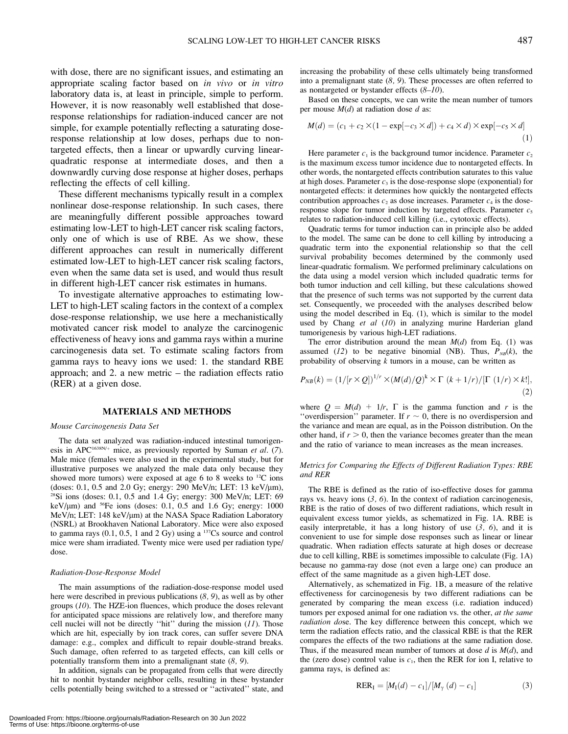with dose, there are no significant issues, and estimating an appropriate scaling factor based on in vivo or in vitro laboratory data is, at least in principle, simple to perform. However, it is now reasonably well established that doseresponse relationships for radiation-induced cancer are not simple, for example potentially reflecting a saturating doseresponse relationship at low doses, perhaps due to nontargeted effects, then a linear or upwardly curving linearquadratic response at intermediate doses, and then a downwardly curving dose response at higher doses, perhaps reflecting the effects of cell killing.

These different mechanisms typically result in a complex nonlinear dose-response relationship. In such cases, there are meaningfully different possible approaches toward estimating low-LET to high-LET cancer risk scaling factors, only one of which is use of RBE. As we show, these different approaches can result in numerically different estimated low-LET to high-LET cancer risk scaling factors, even when the same data set is used, and would thus result in different high-LET cancer risk estimates in humans.

To investigate alternative approaches to estimating low-LET to high-LET scaling factors in the context of a complex dose-response relationship, we use here a mechanistically motivated cancer risk model to analyze the carcinogenic effectiveness of heavy ions and gamma rays within a murine carcinogenesis data set. To estimate scaling factors from gamma rays to heavy ions we used: 1. the standard RBE approach; and 2. a new metric – the radiation effects ratio (RER) at a given dose.

#### MATERIALS AND METHODS

#### Mouse Carcinogenesis Data Set

The data set analyzed was radiation-induced intestinal tumorigenesis in APC<sup>1638N/+</sup> mice, as previously reported by Suman et al. (7). Male mice (females were also used in the experimental study, but for illustrative purposes we analyzed the male data only because they showed more tumors) were exposed at age 6 to 8 weeks to 12C ions (doses: 0.1, 0.5 and 2.0 Gy; energy: 290 MeV/n; LET: 13 keV/ $\mu$ m),  $28\text{Si}$  ions (doses: 0.1, 0.5 and 1.4 Gy; energy: 300 MeV/n; LET: 69 keV/ $\mu$ m) and <sup>56</sup>Fe ions (doses: 0.1, 0.5 and 1.6 Gy; energy: 1000 MeV/n; LET: 148 keV/µm) at the NASA Space Radiation Laboratory (NSRL) at Brookhaven National Laboratory. Mice were also exposed to gamma rays  $(0.1, 0.5, 1$  and  $2 Gy)$  using a  $137Cs$  source and control mice were sham irradiated. Twenty mice were used per radiation type/ dose.

#### Radiation-Dose-Response Model

The main assumptions of the radiation-dose-response model used here were described in previous publications (8, 9), as well as by other groups (10). The HZE-ion fluences, which produce the doses relevant for anticipated space missions are relatively low, and therefore many cell nuclei will not be directly "hit" during the mission  $(11)$ . Those which are hit, especially by ion track cores, can suffer severe DNA damage: e.g., complex and difficult to repair double-strand breaks. Such damage, often referred to as targeted effects, can kill cells or potentially transform them into a premalignant state (8, 9).

In addition, signals can be propagated from cells that were directly hit to nonhit bystander neighbor cells, resulting in these bystander cells potentially being switched to a stressed or ''activated'' state, and increasing the probability of these cells ultimately being transformed into a premalignant state  $(8, 9)$ . These processes are often referred to as nontargeted or bystander effects  $(8-10)$ .

Based on these concepts, we can write the mean number of tumors per mouse  $M(d)$  at radiation dose d as:

$$
M(d) = (c_1 + c_2 \times (1 - \exp[-c_3 \times d]) + c_4 \times d) \times \exp[-c_5 \times d]
$$
<sup>(1)</sup>

Here parameter  $c_1$  is the background tumor incidence. Parameter  $c_2$ is the maximum excess tumor incidence due to nontargeted effects. In other words, the nontargeted effects contribution saturates to this value at high doses. Parameter  $c_3$  is the dose-response slope (exponential) for nontargeted effects: it determines how quickly the nontargeted effects contribution approaches  $c_2$  as dose increases. Parameter  $c_4$  is the doseresponse slope for tumor induction by targeted effects. Parameter  $c_5$ relates to radiation-induced cell killing (i.e., cytotoxic effects).

Quadratic terms for tumor induction can in principle also be added to the model. The same can be done to cell killing by introducing a quadratic term into the exponential relationship so that the cell survival probability becomes determined by the commonly used linear-quadratic formalism. We performed preliminary calculations on the data using a model version which included quadratic terms for both tumor induction and cell killing, but these calculations showed that the presence of such terms was not supported by the current data set. Consequently, we proceeded with the analyses described below using the model described in Eq. (1), which is similar to the model used by Chang et al (10) in analyzing murine Harderian gland tumorigenesis by various high-LET radiations.

The error distribution around the mean  $M(d)$  from Eq. (1) was assumed (12) to be negative binomial (NB). Thus,  $P_{NB}(k)$ , the probability of observing  $k$  tumors in a mouse, can be written as

$$
P_{NB}(k) = \left(1/[r \times Q]\right)^{1/r} \times \left(M(d)/Q\right)^k \times \Gamma\left(k+1/r\right)/[\Gamma\left(1/r\right) \times k!],\tag{2}
$$

where  $Q = M(d) + 1/r$ ,  $\Gamma$  is the gamma function and r is the "overdispersion" parameter. If  $r \sim 0$ , there is no overdispersion and the variance and mean are equal, as in the Poisson distribution. On the other hand, if  $r > 0$ , then the variance becomes greater than the mean and the ratio of variance to mean increases as the mean increases.

#### Metrics for Comparing the Effects of Different Radiation Types: RBE and RER

The RBE is defined as the ratio of iso-effective doses for gamma rays vs. heavy ions  $(3, 6)$ . In the context of radiation carcinogenesis, RBE is the ratio of doses of two different radiations, which result in equivalent excess tumor yields, as schematized in Fig. 1A. RBE is easily interpretable, it has a long history of use  $(3, 6)$ , and it is convenient to use for simple dose responses such as linear or linear quadratic. When radiation effects saturate at high doses or decrease due to cell killing, RBE is sometimes impossible to calculate (Fig. 1A) because no gamma-ray dose (not even a large one) can produce an effect of the same magnitude as a given high-LET dose.

Alternatively, as schematized in Fig. 1B, a measure of the relative effectiveness for carcinogenesis by two different radiations can be generated by comparing the mean excess (i.e. radiation induced) tumors per exposed animal for one radiation vs. the other, at the same radiation dose. The key difference between this concept, which we term the radiation effects ratio, and the classical RBE is that the RER compares the effects of the two radiations at the same radiation dose. Thus, if the measured mean number of tumors at dose  $d$  is  $M(d)$ , and the (zero dose) control value is  $c_1$ , then the RER for ion I, relative to gamma rays, is defined as:

$$
RER_{I} = [M_{I}(d) - c_{1}]/[M_{\gamma}(d) - c_{1}] \tag{3}
$$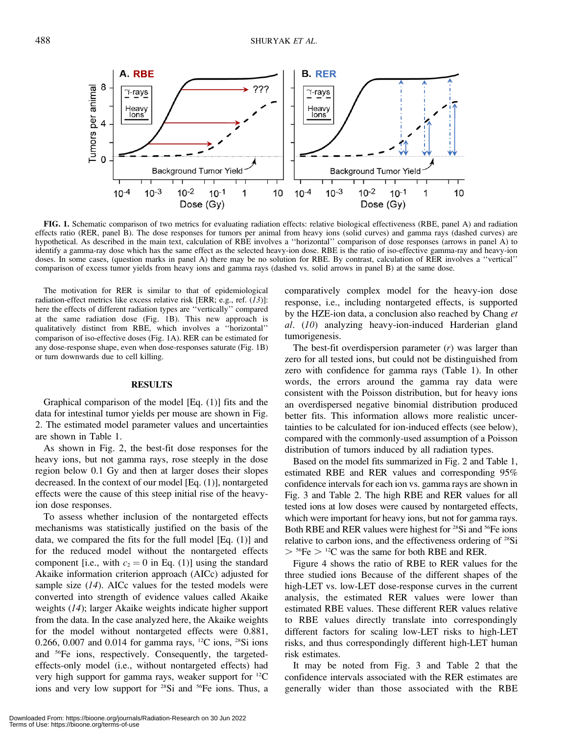

FIG. 1. Schematic comparison of two metrics for evaluating radiation effects: relative biological effectiveness (RBE, panel A) and radiation effects ratio (RER, panel B). The dose responses for tumors per animal from heavy ions (solid curves) and gamma rays (dashed curves) are hypothetical. As described in the main text, calculation of RBE involves a ''horizontal'' comparison of dose responses (arrows in panel A) to identify a gamma-ray dose which has the same effect as the selected heavy-ion dose. RBE is the ratio of iso-effective gamma-ray and heavy-ion doses. In some cases, (question marks in panel A) there may be no solution for RBE. By contrast, calculation of RER involves a ''vertical'' comparison of excess tumor yields from heavy ions and gamma rays (dashed vs. solid arrows in panel B) at the same dose.

The motivation for RER is similar to that of epidemiological radiation-effect metrics like excess relative risk [ERR; e.g., ref. (13)]: here the effects of different radiation types are ''vertically'' compared at the same radiation dose (Fig. 1B). This new approach is qualitatively distinct from RBE, which involves a ''horizontal'' comparison of iso-effective doses (Fig. 1A). RER can be estimated for any dose-response shape, even when dose-responses saturate (Fig. 1B) or turn downwards due to cell killing.

#### RESULTS

Graphical comparison of the model [Eq. (1)] fits and the data for intestinal tumor yields per mouse are shown in Fig. 2. The estimated model parameter values and uncertainties are shown in Table 1.

As shown in Fig. 2, the best-fit dose responses for the heavy ions, but not gamma rays, rose steeply in the dose region below 0.1 Gy and then at larger doses their slopes decreased. In the context of our model [Eq. (1)], nontargeted effects were the cause of this steep initial rise of the heavyion dose responses.

To assess whether inclusion of the nontargeted effects mechanisms was statistically justified on the basis of the data, we compared the fits for the full model [Eq. (1)] and for the reduced model without the nontargeted effects component [i.e., with  $c_2 = 0$  in Eq. (1)] using the standard Akaike information criterion approach (AICc) adjusted for sample size  $(14)$ . AICc values for the tested models were converted into strength of evidence values called Akaike weights (14); larger Akaike weights indicate higher support from the data. In the case analyzed here, the Akaike weights for the model without nontargeted effects were 0.881, 0.266, 0.007 and 0.014 for gamma rays, <sup>12</sup>C ions, <sup>28</sup>Si ions and 56Fe ions, respectively. Consequently, the targetedeffects-only model (i.e., without nontargeted effects) had very high support for gamma rays, weaker support for 12C ions and very low support for <sup>28</sup>Si and <sup>56</sup>Fe ions. Thus, a comparatively complex model for the heavy-ion dose response, i.e., including nontargeted effects, is supported by the HZE-ion data, a conclusion also reached by Chang et al. (10) analyzing heavy-ion-induced Harderian gland tumorigenesis.

The best-fit overdispersion parameter  $(r)$  was larger than zero for all tested ions, but could not be distinguished from zero with confidence for gamma rays (Table 1). In other words, the errors around the gamma ray data were consistent with the Poisson distribution, but for heavy ions an overdispersed negative binomial distribution produced better fits. This information allows more realistic uncertainties to be calculated for ion-induced effects (see below), compared with the commonly-used assumption of a Poisson distribution of tumors induced by all radiation types.

Based on the model fits summarized in Fig. 2 and Table 1, estimated RBE and RER values and corresponding 95% confidence intervals for each ion vs. gamma rays are shown in Fig. 3 and Table 2. The high RBE and RER values for all tested ions at low doses were caused by nontargeted effects, which were important for heavy ions, but not for gamma rays. Both RBE and RER values were highest for <sup>28</sup>Si and <sup>56</sup>Fe ions relative to carbon ions, and the effectiveness ordering of 28Si  $>$  <sup>56</sup>Fe  $>$  <sup>12</sup>C was the same for both RBE and RER.

Figure 4 shows the ratio of RBE to RER values for the three studied ions Because of the different shapes of the high-LET vs. low-LET dose-response curves in the current analysis, the estimated RER values were lower than estimated RBE values. These different RER values relative to RBE values directly translate into correspondingly different factors for scaling low-LET risks to high-LET risks, and thus correspondingly different high-LET human risk estimates.

It may be noted from Fig. 3 and Table 2 that the confidence intervals associated with the RER estimates are generally wider than those associated with the RBE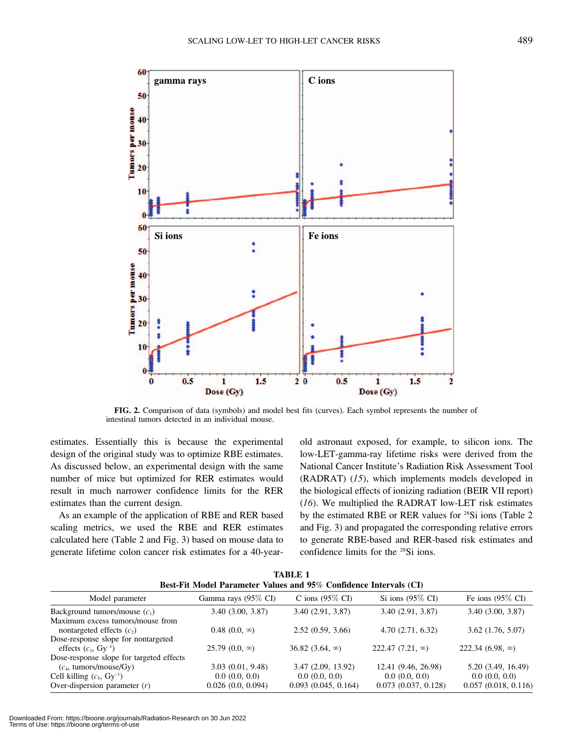

FIG. 2. Comparison of data (symbols) and model best fits (curves). Each symbol represents the number of intestinal tumors detected in an individual mouse.

estimates. Essentially this is because the experimental design of the original study was to optimize RBE estimates. As discussed below, an experimental design with the same number of mice but optimized for RER estimates would result in much narrower confidence limits for the RER estimates than the current design.

As an example of the application of RBE and RER based scaling metrics, we used the RBE and RER estimates calculated here (Table 2 and Fig. 3) based on mouse data to generate lifetime colon cancer risk estimates for a 40-yearold astronaut exposed, for example, to silicon ions. The low-LET-gamma-ray lifetime risks were derived from the National Cancer Institute's Radiation Risk Assessment Tool (RADRAT) (15), which implements models developed in the biological effects of ionizing radiation (BEIR VII report) (16). We multiplied the RADRAT low-LET risk estimates by the estimated RBE or RER values for <sup>28</sup>Si ions (Table 2 and Fig. 3) and propagated the corresponding relative errors to generate RBE-based and RER-based risk estimates and confidence limits for the 28Si ions.

| <b>TABLE 1</b><br>Best-Fit Model Parameter Values and 95% Confidence Intervals (CI) |                                    |                                      |                                           |                                      |  |  |  |  |  |  |
|-------------------------------------------------------------------------------------|------------------------------------|--------------------------------------|-------------------------------------------|--------------------------------------|--|--|--|--|--|--|
| Model parameter                                                                     | Gamma rays (95% CI)                | C ions $(95\% \text{ CI})$           | Si ions $(95\% \text{ CI})$               | Fe ions $(95\% \text{ CI})$          |  |  |  |  |  |  |
| Background tumors/mouse $(c_1)$                                                     | 3.40(3.00, 3.87)                   | 3.40(2.91, 3.87)                     | 3.40(2.91, 3.87)                          | 3.40(3.00, 3.87)                     |  |  |  |  |  |  |
| Maximum excess tumors/mouse from<br>nontargeted effects $(c_2)$                     | $0.48$ $(0.0, \infty)$             | 2.52(0.59, 3.66)                     | 4.70(2.71, 6.32)                          | $3.62$ $(1.76, 5.07)$                |  |  |  |  |  |  |
| Dose-response slope for nontargeted<br>effects $(c_3, Gy^{-1})$                     | $25.79(0.0, \infty)$               | 36.82 $(3.64, \infty)$               | 222.47 $(7.21, \infty)$                   | 222.34 $(6.98, \infty)$              |  |  |  |  |  |  |
| Dose-response slope for targeted effects<br>$(c_4, \text{ tumors/mouse/Gy})$        | 3.03(0.01, 9.48)                   | 3.47(2.09, 13.92)                    | 12.41 (9.46, 26.98)                       | 5.20 (3.49, 16.49)                   |  |  |  |  |  |  |
| Cell killing $(c_5, Gy^{-1})$<br>Over-dispersion parameter $(r)$                    | 0.0(0.0, 0.0)<br>0.026(0.0, 0.094) | 0.0(0.0, 0.0)<br>0.093(0.045, 0.164) | 0.0(0.0, 0.0)<br>$0.073$ $(0.037, 0.128)$ | 0.0(0.0, 0.0)<br>0.057(0.018, 0.116) |  |  |  |  |  |  |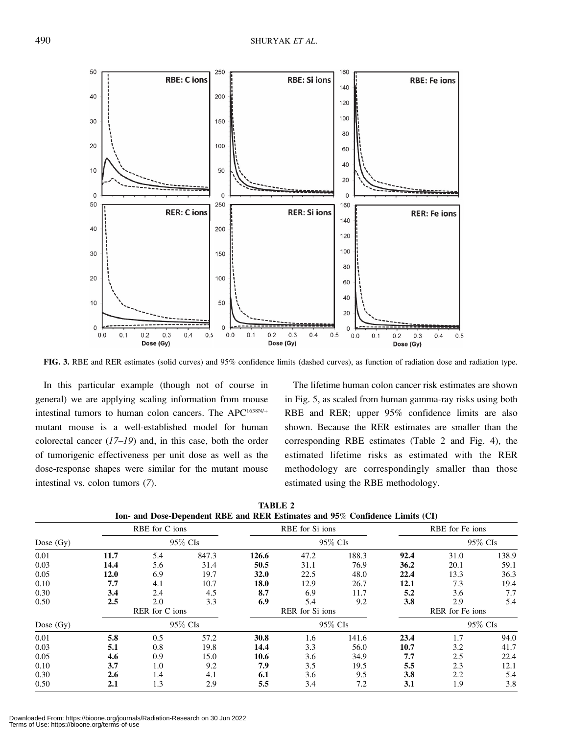

FIG. 3. RBE and RER estimates (solid curves) and 95% confidence limits (dashed curves), as function of radiation dose and radiation type.

In this particular example (though not of course in general) we are applying scaling information from mouse intestinal tumors to human colon cancers. The APC<sup>1638N/+</sup> mutant mouse is a well-established model for human colorectal cancer  $(17-19)$  and, in this case, both the order of tumorigenic effectiveness per unit dose as well as the dose-response shapes were similar for the mutant mouse intestinal vs. colon tumors (7).

The lifetime human colon cancer risk estimates are shown in Fig. 5, as scaled from human gamma-ray risks using both RBE and RER; upper 95% confidence limits are also shown. Because the RER estimates are smaller than the corresponding RBE estimates (Table 2 and Fig. 4), the estimated lifetime risks as estimated with the RER methodology are correspondingly smaller than those estimated using the RBE methodology.

|             | RBE for C ions |                |          | RBE for Si ions |                 |          | RBE for Fe ions |                 |         |  |
|-------------|----------------|----------------|----------|-----------------|-----------------|----------|-----------------|-----------------|---------|--|
| Dose $(Gy)$ |                |                | 95\% CIs |                 |                 | 95\% CIs |                 |                 | 95% CIs |  |
| 0.01        | 11.7           | 5.4            | 847.3    | 126.6           | 47.2            | 188.3    | 92.4            | 31.0            | 138.9   |  |
| 0.03        | 14.4           | 5.6            | 31.4     | 50.5            | 31.1            | 76.9     | 36.2            | 20.1            | 59.1    |  |
| 0.05        | 12.0           | 6.9            | 19.7     | <b>32.0</b>     | 22.5            | 48.0     | 22.4            | 13.3            | 36.3    |  |
| 0.10        | 7.7            | 4.1            | 10.7     | 18.0            | 12.9            | 26.7     | 12.1            | 7.3             | 19.4    |  |
| 0.30        | 3.4            | 2.4            | 4.5      | 8.7             | 6.9             | 11.7     | 5.2             | 3.6             | 7.7     |  |
| 0.50        | 2.5            | 2.0            | 3.3      | 6.9             | 5.4             | 9.2      | 3.8             | 2.9             | 5.4     |  |
|             |                | RER for C ions |          |                 | RER for Si ions |          |                 | RER for Fe ions |         |  |
| Dose $(Gy)$ |                |                | 95% CIs  |                 |                 | 95% CIs  |                 |                 | 95% CIs |  |
| 0.01        | 5.8            | 0.5            | 57.2     | 30.8            | 1.6             | 141.6    | 23.4            | 1.7             | 94.0    |  |
| 0.03        | 5.1            | 0.8            | 19.8     | 14.4            | 3.3             | 56.0     | 10.7            | 3.2             | 41.7    |  |
| 0.05        | 4.6            | 0.9            | 15.0     | 10.6            | 3.6             | 34.9     | 7.7             | 2.5             | 22.4    |  |
| 0.10        | 3.7            | 1.0            | 9.2      | 7.9             | 3.5             | 19.5     | 5.5             | 2.3             | 12.1    |  |
| 0.30        | 2.6            | 1.4            | 4.1      | 6.1             | 3.6             | 9.5      | 3.8             | 2.2             | 5.4     |  |
| 0.50        | 2.1            | 1.3            | 2.9      | 5.5             | 3.4             | 7.2      | 3.1             | 1.9             | 3.8     |  |

TABLE 2 Ion- and Dose-Dependent RBE and RER Estimates and 95% Confidence Limits (CI)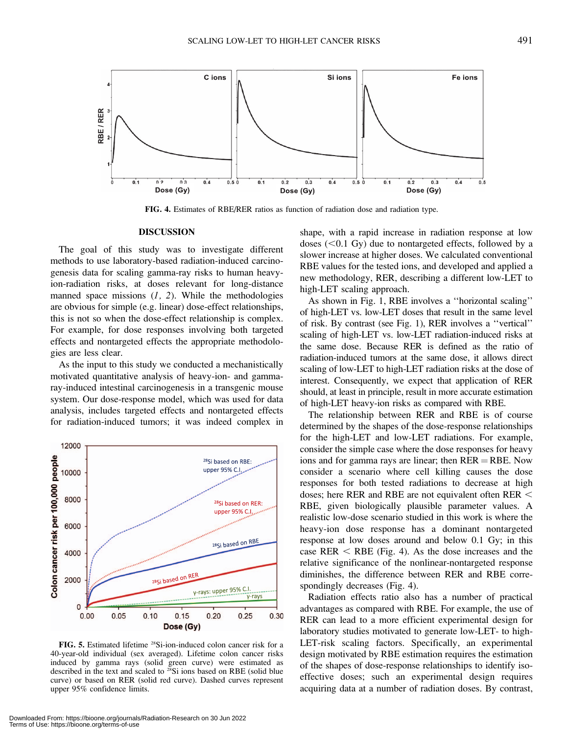![](_page_6_Figure_1.jpeg)

FIG. 4. Estimates of RBE/RER ratios as function of radiation dose and radiation type.

#### DISCUSSION

The goal of this study was to investigate different methods to use laboratory-based radiation-induced carcinogenesis data for scaling gamma-ray risks to human heavyion-radiation risks, at doses relevant for long-distance manned space missions  $(1, 2)$ . While the methodologies are obvious for simple (e.g. linear) dose-effect relationships, this is not so when the dose-effect relationship is complex. For example, for dose responses involving both targeted effects and nontargeted effects the appropriate methodologies are less clear.

As the input to this study we conducted a mechanistically motivated quantitative analysis of heavy-ion- and gammaray-induced intestinal carcinogenesis in a transgenic mouse system. Our dose-response model, which was used for data analysis, includes targeted effects and nontargeted effects for radiation-induced tumors; it was indeed complex in

![](_page_6_Figure_6.jpeg)

FIG. 5. Estimated lifetime 28Si-ion-induced colon cancer risk for a 40-year-old individual (sex averaged). Lifetime colon cancer risks induced by gamma rays (solid green curve) were estimated as described in the text and scaled to  $28$ Si ions based on RBE (solid blue curve) or based on RER (solid red curve). Dashed curves represent upper 95% confidence limits.

shape, with a rapid increase in radiation response at low doses  $(<0.1 \text{ Gy})$  due to nontargeted effects, followed by a slower increase at higher doses. We calculated conventional RBE values for the tested ions, and developed and applied a new methodology, RER, describing a different low-LET to high-LET scaling approach.

As shown in Fig. 1, RBE involves a ''horizontal scaling'' of high-LET vs. low-LET doses that result in the same level of risk. By contrast (see Fig. 1), RER involves a ''vertical'' scaling of high-LET vs. low-LET radiation-induced risks at the same dose. Because RER is defined as the ratio of radiation-induced tumors at the same dose, it allows direct scaling of low-LET to high-LET radiation risks at the dose of interest. Consequently, we expect that application of RER should, at least in principle, result in more accurate estimation of high-LET heavy-ion risks as compared with RBE.

The relationship between RER and RBE is of course determined by the shapes of the dose-response relationships for the high-LET and low-LET radiations. For example, consider the simple case where the dose responses for heavy ions and for gamma rays are linear; then  $RER = RBE$ . Now consider a scenario where cell killing causes the dose responses for both tested radiations to decrease at high doses; here RER and RBE are not equivalent often RER  $<$ RBE, given biologically plausible parameter values. A realistic low-dose scenario studied in this work is where the heavy-ion dose response has a dominant nontargeted response at low doses around and below 0.1 Gy; in this case RER  $\leq$  RBE (Fig. 4). As the dose increases and the relative significance of the nonlinear-nontargeted response diminishes, the difference between RER and RBE correspondingly decreases (Fig. 4).

Radiation effects ratio also has a number of practical advantages as compared with RBE. For example, the use of RER can lead to a more efficient experimental design for laboratory studies motivated to generate low-LET- to high-LET-risk scaling factors. Specifically, an experimental design motivated by RBE estimation requires the estimation of the shapes of dose-response relationships to identify isoeffective doses; such an experimental design requires acquiring data at a number of radiation doses. By contrast,